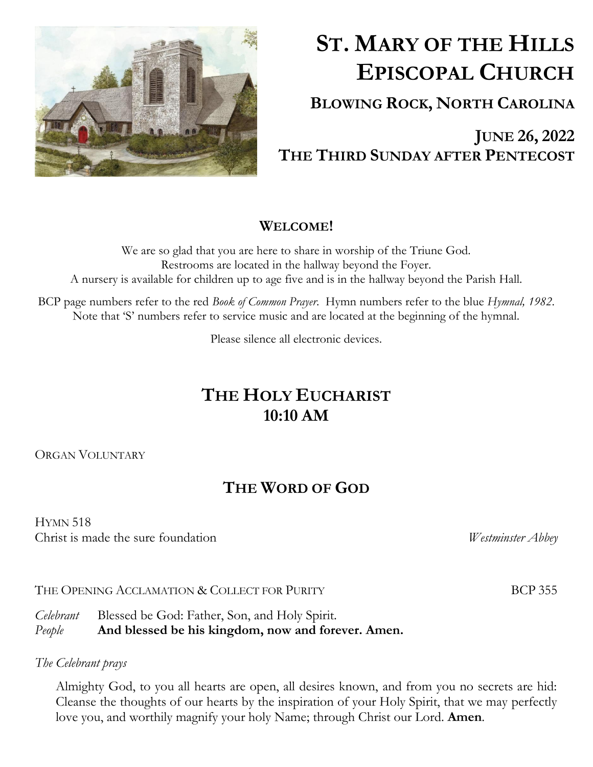

# **ST. MARY OF THE HILLS EPISCOPAL CHURCH**

 **BLOWING ROCK, NORTH CAROLINA**

 **JUNE 26, 2022 THE THIRD SUNDAY AFTER PENTECOST**

### **WELCOME!**

We are so glad that you are here to share in worship of the Triune God. Restrooms are located in the hallway beyond the Foyer. A nursery is available for children up to age five and is in the hallway beyond the Parish Hall.

BCP page numbers refer to the red *Book of Common Prayer*. Hymn numbers refer to the blue *Hymnal, 1982*. Note that 'S' numbers refer to service music and are located at the beginning of the hymnal.

Please silence all electronic devices.

## **THE HOLY EUCHARIST 10:10 AM**

ORGAN VOLUNTARY

### **THE WORD OF GOD**

HYMN 518 Christ is made the sure foundation *Westminster Abbey*

THE OPENING ACCLAMATION & COLLECT FOR PURITY BCP 355

*Celebrant* Blessed be God: Father, Son, and Holy Spirit. *People* **And blessed be his kingdom, now and forever. Amen.** 

#### *The Celebrant prays*

Almighty God, to you all hearts are open, all desires known, and from you no secrets are hid: Cleanse the thoughts of our hearts by the inspiration of your Holy Spirit, that we may perfectly love you, and worthily magnify your holy Name; through Christ our Lord. **Amen**.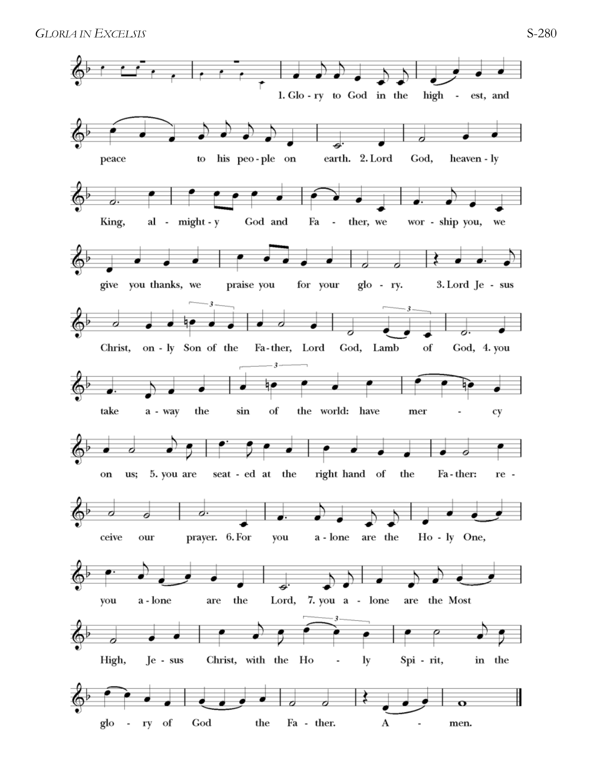*GLORIA IN EXCELSIS* S-280

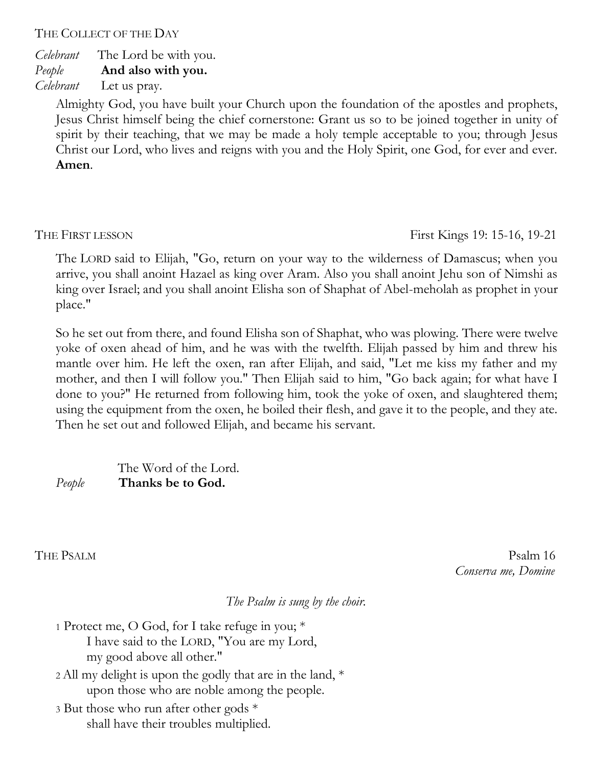THE COLLECT OF THE DAY

*Celebrant* The Lord be with you.

#### *People* **And also with you.**

*Celebrant* Let us pray.

Almighty God, you have built your Church upon the foundation of the apostles and prophets, Jesus Christ himself being the chief cornerstone: Grant us so to be joined together in unity of spirit by their teaching, that we may be made a holy temple acceptable to you; through Jesus Christ our Lord, who lives and reigns with you and the Holy Spirit, one God, for ever and ever. **Amen**.

#### THE FIRST LESSON First Kings 19: 15-16, 19-21

The LORD said to Elijah, "Go, return on your way to the wilderness of Damascus; when you arrive, you shall anoint Hazael as king over Aram. Also you shall anoint Jehu son of Nimshi as king over Israel; and you shall anoint Elisha son of Shaphat of Abel-meholah as prophet in your place."

So he set out from there, and found Elisha son of Shaphat, who was plowing. There were twelve yoke of oxen ahead of him, and he was with the twelfth. Elijah passed by him and threw his mantle over him. He left the oxen, ran after Elijah, and said, "Let me kiss my father and my mother, and then I will follow you." Then Elijah said to him, "Go back again; for what have I done to you?" He returned from following him, took the yoke of oxen, and slaughtered them; using the equipment from the oxen, he boiled their flesh, and gave it to the people, and they ate. Then he set out and followed Elijah, and became his servant.

 The Word of the Lord. *People* **Thanks be to God.**

THE PSALM Psalm 16 *Conserva me, Domine*

*The Psalm is sung by the choir.*

- 1 Protect me, O God, for I take refuge in you; \* I have said to the LORD, "You are my Lord, my good above all other."
- 2 All my delight is upon the godly that are in the land,  $*$ upon those who are noble among the people.
- 3 But those who run after other gods \* shall have their troubles multiplied.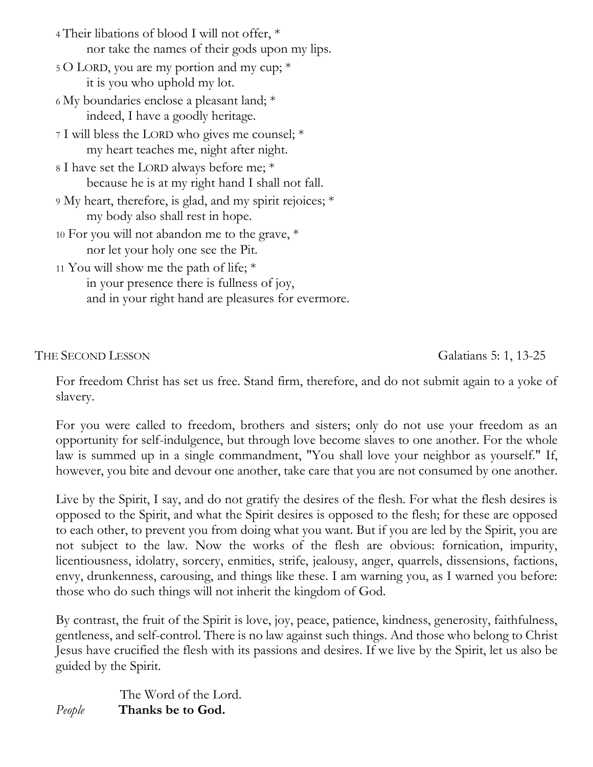- 4 Their libations of blood I will not offer, \* nor take the names of their gods upon my lips.
- 5 O LORD, you are my portion and my cup; \* it is you who uphold my lot.
- 6 My boundaries enclose a pleasant land; \* indeed, I have a goodly heritage.
- 7 I will bless the LORD who gives me counsel; \* my heart teaches me, night after night.
- 8 I have set the LORD always before me; \* because he is at my right hand I shall not fall.
- 9 My heart, therefore, is glad, and my spirit rejoices; \* my body also shall rest in hope.
- 10 For you will not abandon me to the grave, \* nor let your holy one see the Pit.
- 11 You will show me the path of life; \* in your presence there is fullness of joy, and in your right hand are pleasures for evermore.

THE SECOND LESSON Galatians 5: 1, 13-25

For freedom Christ has set us free. Stand firm, therefore, and do not submit again to a yoke of slavery.

For you were called to freedom, brothers and sisters; only do not use your freedom as an opportunity for self-indulgence, but through love become slaves to one another. For the whole law is summed up in a single commandment, "You shall love your neighbor as yourself." If, however, you bite and devour one another, take care that you are not consumed by one another.

Live by the Spirit, I say, and do not gratify the desires of the flesh. For what the flesh desires is opposed to the Spirit, and what the Spirit desires is opposed to the flesh; for these are opposed to each other, to prevent you from doing what you want. But if you are led by the Spirit, you are not subject to the law. Now the works of the flesh are obvious: fornication, impurity, licentiousness, idolatry, sorcery, enmities, strife, jealousy, anger, quarrels, dissensions, factions, envy, drunkenness, carousing, and things like these. I am warning you, as I warned you before: those who do such things will not inherit the kingdom of God.

By contrast, the fruit of the Spirit is love, joy, peace, patience, kindness, generosity, faithfulness, gentleness, and self-control. There is no law against such things. And those who belong to Christ Jesus have crucified the flesh with its passions and desires. If we live by the Spirit, let us also be guided by the Spirit.

 The Word of the Lord. *People* **Thanks be to God.**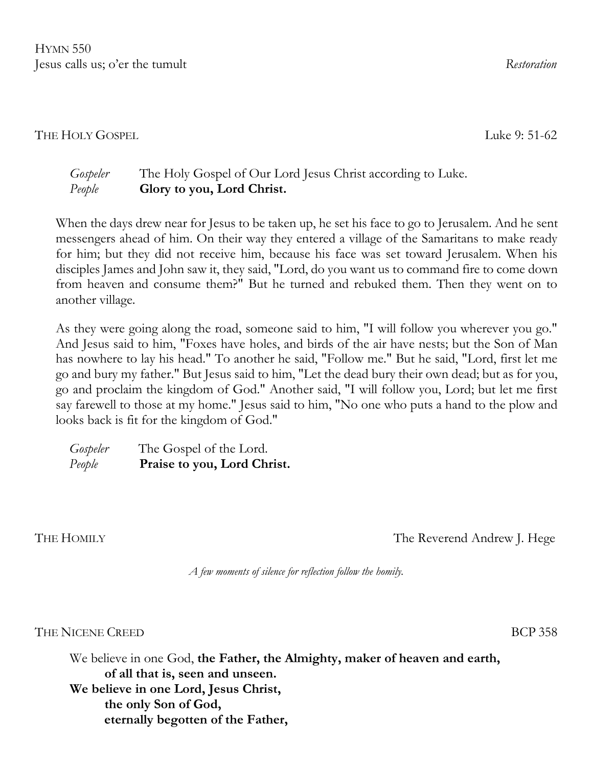HYMN 550 Jesus calls us; o'er the tumult *Restoration*

THE HOLY GOSPEL LUKE 9: 51-62

#### *Gospeler* The Holy Gospel of Our Lord Jesus Christ according to Luke. *People* **Glory to you, Lord Christ.**

When the days drew near for Jesus to be taken up, he set his face to go to Jerusalem. And he sent messengers ahead of him. On their way they entered a village of the Samaritans to make ready for him; but they did not receive him, because his face was set toward Jerusalem. When his disciples James and John saw it, they said, "Lord, do you want us to command fire to come down from heaven and consume them?" But he turned and rebuked them. Then they went on to another village.

As they were going along the road, someone said to him, "I will follow you wherever you go." And Jesus said to him, "Foxes have holes, and birds of the air have nests; but the Son of Man has nowhere to lay his head." To another he said, "Follow me." But he said, "Lord, first let me go and bury my father." But Jesus said to him, "Let the dead bury their own dead; but as for you, go and proclaim the kingdom of God." Another said, "I will follow you, Lord; but let me first say farewell to those at my home." Jesus said to him, "No one who puts a hand to the plow and looks back is fit for the kingdom of God."

| Gospeler | The Gospel of the Lord.     |
|----------|-----------------------------|
| People   | Praise to you, Lord Christ. |

THE HOMILY The Reverend Andrew J. Hege

*A few moments of silence for reflection follow the homily.*

THE NICENE CREED BCP 358

We believe in one God, **the Father, the Almighty, maker of heaven and earth, of all that is, seen and unseen. We believe in one Lord, Jesus Christ, the only Son of God, eternally begotten of the Father,**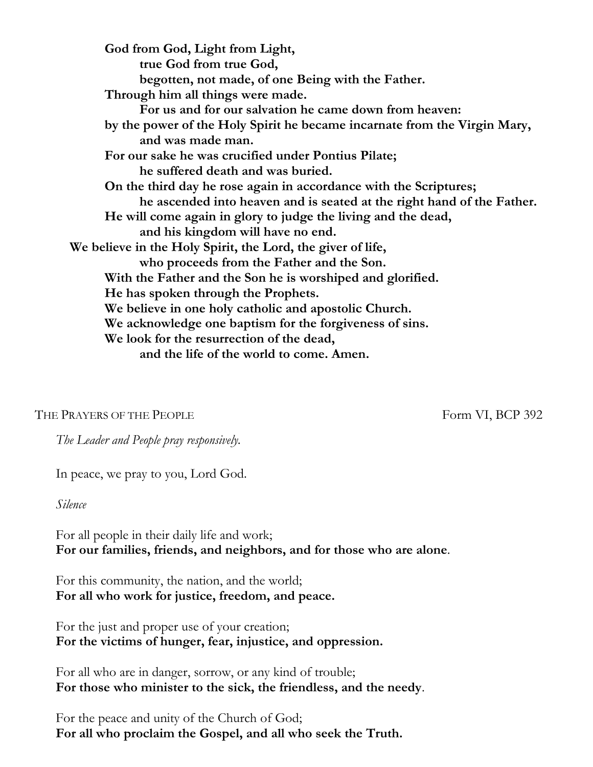| God from God, Light from Light,                                           |
|---------------------------------------------------------------------------|
| true God from true God,                                                   |
| begotten, not made, of one Being with the Father.                         |
| Through him all things were made.                                         |
| For us and for our salvation he came down from heaven:                    |
| by the power of the Holy Spirit he became incarnate from the Virgin Mary, |
| and was made man.                                                         |
| For our sake he was crucified under Pontius Pilate;                       |
| he suffered death and was buried.                                         |
| On the third day he rose again in accordance with the Scriptures;         |
| he ascended into heaven and is seated at the right hand of the Father.    |
| He will come again in glory to judge the living and the dead,             |
| and his kingdom will have no end.                                         |
| We believe in the Holy Spirit, the Lord, the giver of life,               |
| who proceeds from the Father and the Son.                                 |
| With the Father and the Son he is worshiped and glorified.                |
| He has spoken through the Prophets.                                       |
| We believe in one holy catholic and apostolic Church.                     |
| We acknowledge one baptism for the forgiveness of sins.                   |
| We look for the resurrection of the dead,                                 |
| and the life of the world to come. Amen.                                  |
|                                                                           |

#### THE PRAYERS OF THE PEOPLE FORM THE SECOND FORM VI, BCP 392

*The Leader and People pray responsively.* 

In peace, we pray to you, Lord God.

*Silence*

For all people in their daily life and work; **For our families, friends, and neighbors, and for those who are alone**.

For this community, the nation, and the world; **For all who work for justice, freedom, and peace.**

For the just and proper use of your creation; **For the victims of hunger, fear, injustice, and oppression.**

For all who are in danger, sorrow, or any kind of trouble; **For those who minister to the sick, the friendless, and the needy**.

For the peace and unity of the Church of God; **For all who proclaim the Gospel, and all who seek the Truth.**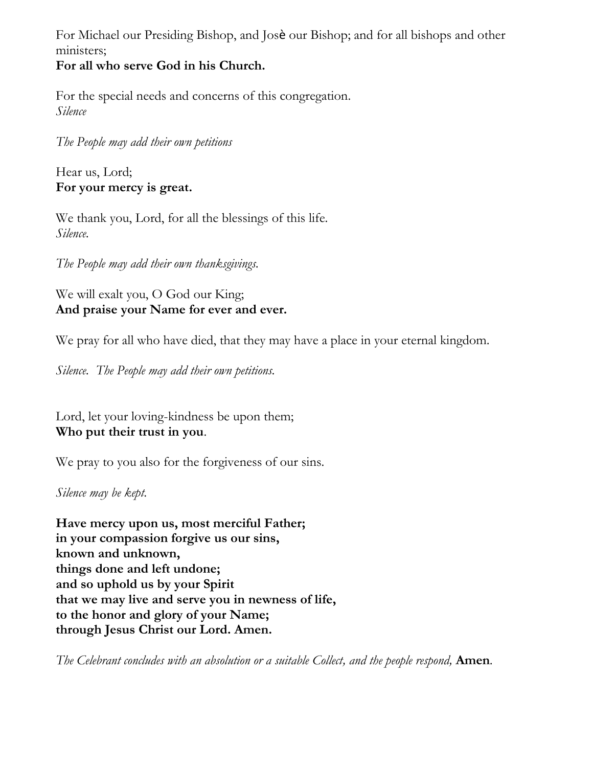For Michael our Presiding Bishop, and Josè our Bishop; and for all bishops and other ministers;

#### **For all who serve God in his Church.**

For the special needs and concerns of this congregation. *Silence* 

*The People may add their own petitions*

Hear us, Lord; **For your mercy is great.**

We thank you, Lord, for all the blessings of this life. *Silence.*

*The People may add their own thanksgivings.*

#### We will exalt you, O God our King; **And praise your Name for ever and ever.**

We pray for all who have died, that they may have a place in your eternal kingdom.

*Silence. The People may add their own petitions.*

Lord, let your loving-kindness be upon them; **Who put their trust in you**.

We pray to you also for the forgiveness of our sins.

*Silence may be kept.*

**Have mercy upon us, most merciful Father; in your compassion forgive us our sins, known and unknown, things done and left undone; and so uphold us by your Spirit that we may live and serve you in newness of life, to the honor and glory of your Name; through Jesus Christ our Lord. Amen.** 

*The Celebrant concludes with an absolution or a suitable Collect, and the people respond,* **Amen***.*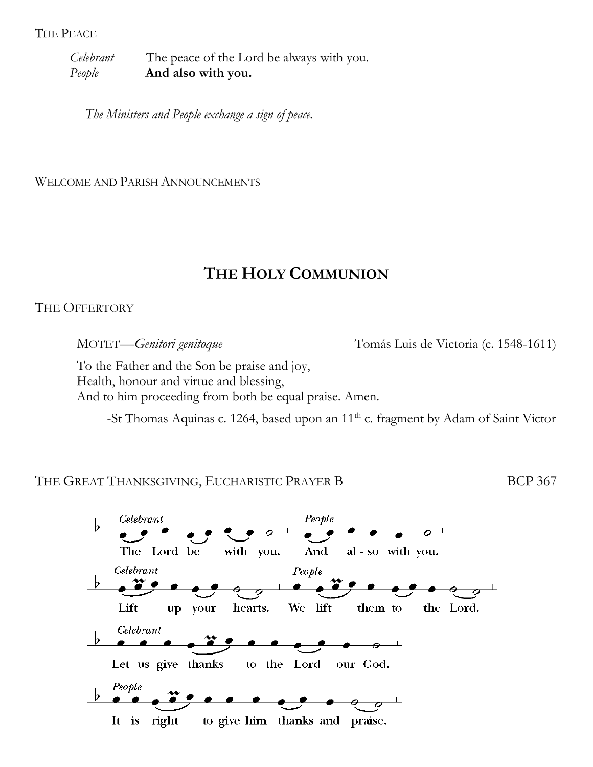THE PEACE

*Celebrant* The peace of the Lord be always with you. *People* **And also with you.**

 *The Ministers and People exchange a sign of peace.* 

WELCOME AND PARISH ANNOUNCEMENTS

### **THE HOLY COMMUNION**

THE OFFERTORY

MOTET—*Genitori genitoque* Tomás Luis de Victoria (c. 1548-1611)

To the Father and the Son be praise and joy, Health, honour and virtue and blessing, And to him proceeding from both be equal praise. Amen.

-St Thomas Aquinas c. 1264, based upon an 11<sup>th</sup> c. fragment by Adam of Saint Victor

THE GREAT THANKSGIVING, EUCHARISTIC PRAYER B BCP 367

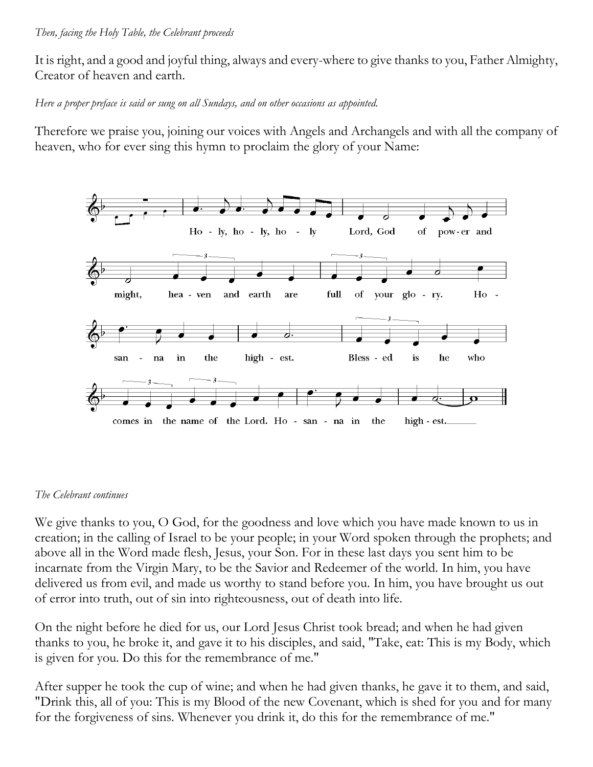#### *Then, facing the Holy Table, the Celebrant proceeds*

It is right, and a good and joyful thing, always and every-where to give thanks to you, Father Almighty, Creator of heaven and earth.

*Here a proper preface is said or sung on all Sundays, and on other occasions as appointed.*

Therefore we praise you, joining our voices with Angels and Archangels and with all the company of heaven, who for ever sing this hymn to proclaim the glory of your Name:



#### *The Celebrant continues*

We give thanks to you, O God, for the goodness and love which you have made known to us in creation; in the calling of Israel to be your people; in your Word spoken through the prophets; and above all in the Word made flesh, Jesus, your Son. For in these last days you sent him to be incarnate from the Virgin Mary, to be the Savior and Redeemer of the world. In him, you have delivered us from evil, and made us worthy to stand before you. In him, you have brought us out of error into truth, out of sin into righteousness, out of death into life.

On the night before he died for us, our Lord Jesus Christ took bread; and when he had given thanks to you, he broke it, and gave it to his disciples, and said, "Take, eat: This is my Body, which is given for you. Do this for the remembrance of me."

After supper he took the cup of wine; and when he had given thanks, he gave it to them, and said, "Drink this, all of you: This is my Blood of the new Covenant, which is shed for you and for many for the forgiveness of sins. Whenever you drink it, do this for the remembrance of me."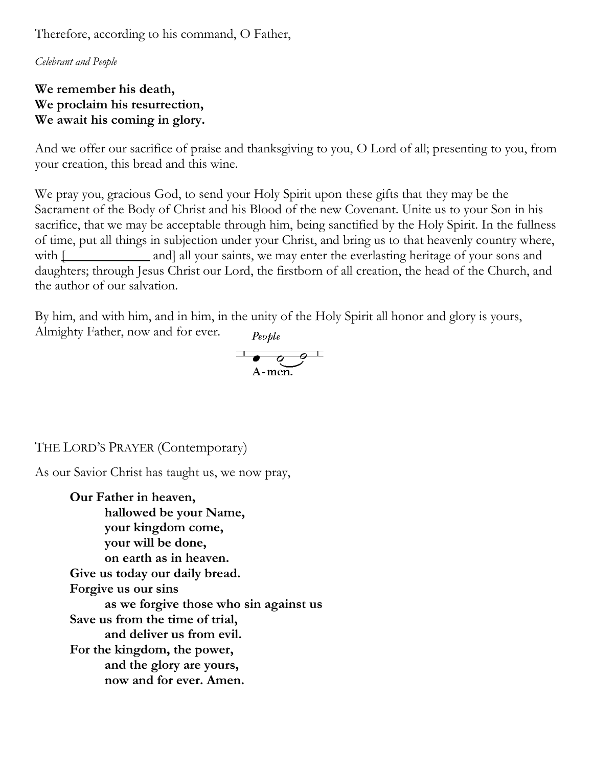Therefore, according to his command, O Father,

*Celebrant and People*

#### **We remember his death, We proclaim his resurrection, We await his coming in glory.**

And we offer our sacrifice of praise and thanksgiving to you, O Lord of all; presenting to you, from your creation, this bread and this wine.

We pray you, gracious God, to send your Holy Spirit upon these gifts that they may be the Sacrament of the Body of Christ and his Blood of the new Covenant. Unite us to your Son in his sacrifice, that we may be acceptable through him, being sanctified by the Holy Spirit. In the fullness of time, put all things in subjection under your Christ, and bring us to that heavenly country where, with  $\Box$  and all your saints, we may enter the everlasting heritage of your sons and daughters; through Jesus Christ our Lord, the firstborn of all creation, the head of the Church, and the author of our salvation.

By him, and with him, and in him, in the unity of the Holy Spirit all honor and glory is yours, Almighty Father, now and for ever. People

$$
\begin{array}{c}\n\bullet & \circ \quad \circ \\
\hline\n\text{A-men.}\n\end{array}
$$

#### THE LORD'S PRAYER (Contemporary)

As our Savior Christ has taught us, we now pray,

**Our Father in heaven, hallowed be your Name, your kingdom come, your will be done, on earth as in heaven. Give us today our daily bread. Forgive us our sins as we forgive those who sin against us Save us from the time of trial, and deliver us from evil. For the kingdom, the power, and the glory are yours, now and for ever. Amen.**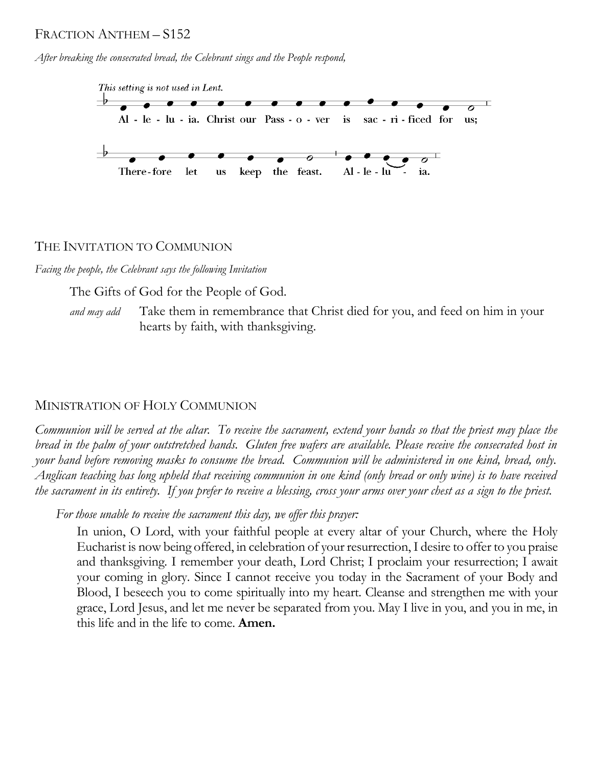#### FRACTION ANTHEM – S152

*After breaking the consecrated bread, the Celebrant sings and the People respond,* 



#### THE INVITATION TO COMMUNION

*Facing the people, the Celebrant says the following Invitation*

The Gifts of God for the People of God.

*and may add* Take them in remembrance that Christ died for you, and feed on him in your hearts by faith, with thanksgiving.

#### MINISTRATION OF HOLY COMMUNION

*Communion will be served at the altar. To receive the sacrament, extend your hands so that the priest may place the bread in the palm of your outstretched hands. Gluten free wafers are available. Please receive the consecrated host in your hand before removing masks to consume the bread. Communion will be administered in one kind, bread, only. Anglican teaching has long upheld that receiving communion in one kind (only bread or only wine) is to have received the sacrament in its entirety. If you prefer to receive a blessing, cross your arms over your chest as a sign to the priest.* 

*For those unable to receive the sacrament this day, we offer this prayer:*

In union, O Lord, with your faithful people at every altar of your Church, where the Holy Eucharist is now being offered, in celebration of your resurrection, I desire to offer to you praise and thanksgiving. I remember your death, Lord Christ; I proclaim your resurrection; I await your coming in glory. Since I cannot receive you today in the Sacrament of your Body and Blood, I beseech you to come spiritually into my heart. Cleanse and strengthen me with your grace, Lord Jesus, and let me never be separated from you. May I live in you, and you in me, in this life and in the life to come. **Amen.**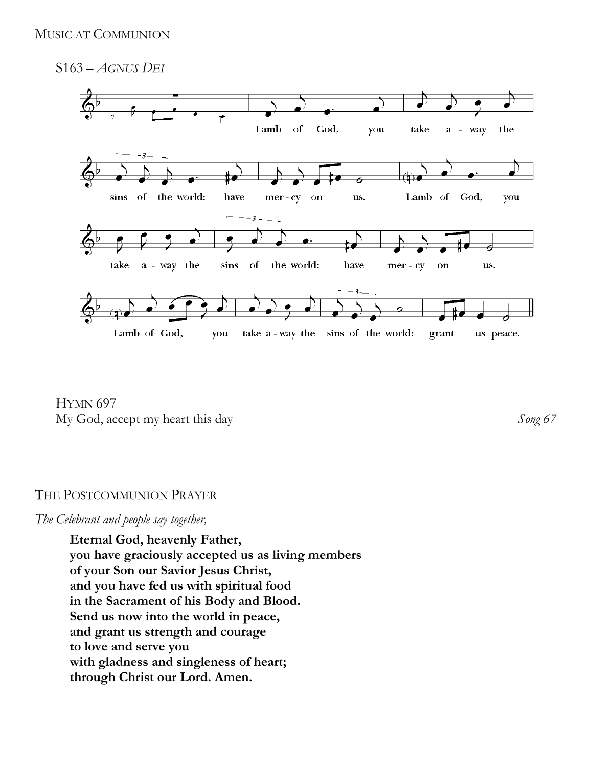

HYMN 697 My God, accept my heart this day *Song 67*

#### THE POSTCOMMUNION PRAYER

#### *The Celebrant and people say together,*

**Eternal God, heavenly Father, you have graciously accepted us as living members of your Son our Savior Jesus Christ, and you have fed us with spiritual food in the Sacrament of his Body and Blood. Send us now into the world in peace, and grant us strength and courage to love and serve you with gladness and singleness of heart; through Christ our Lord. Amen.**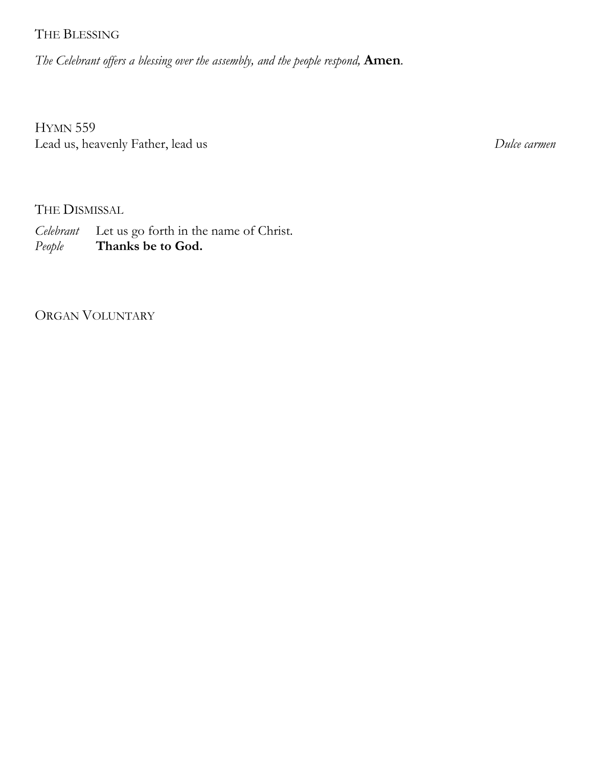### THE BLESSING

*The Celebrant offers a blessing over the assembly, and the people respond,* **Amen***.* 

HYMN 559 Lead us, heavenly Father, lead us *Dulce carmen*

### THE DISMISSAL

*Celebrant* Let us go forth in the name of Christ. *People* **Thanks be to God.** 

#### ORGAN VOLUNTARY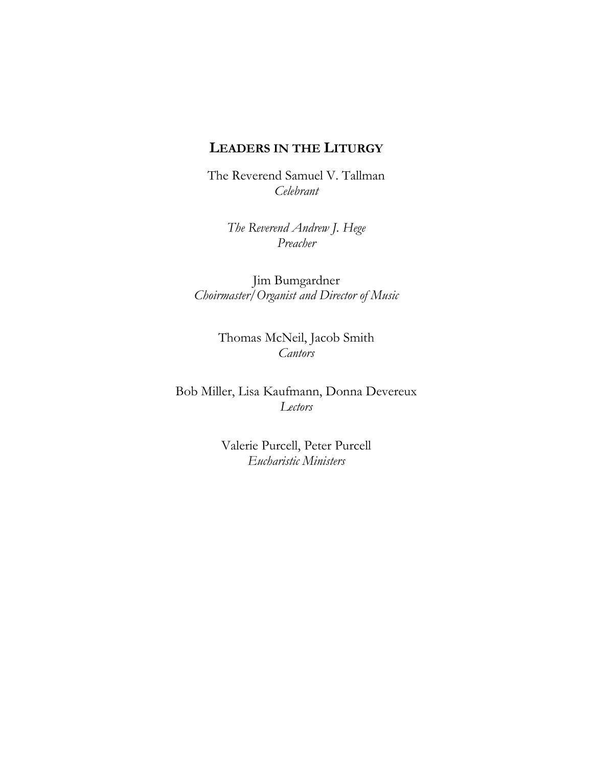#### **LEADERS IN THE LITURGY**

The Reverend Samuel V. Tallman *Celebrant* 

> *The Reverend Andrew J. Hege Preacher*

Jim Bumgardner *Choirmaster/Organist and Director of Music*

> Thomas McNeil, Jacob Smith *Cantors*

Bob Miller, Lisa Kaufmann, Donna Devereux *Lectors*

> Valerie Purcell, Peter Purcell *Eucharistic Ministers*